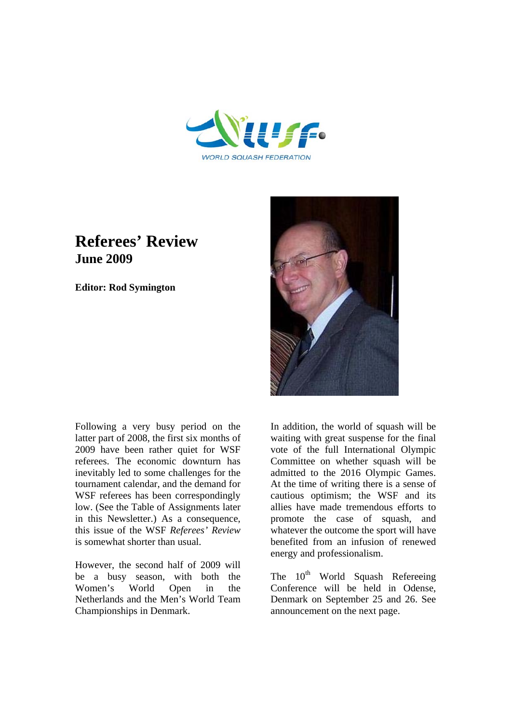

# **Referees' Review June 2009**

**Editor: Rod Symington**



Following a very busy period on the latter part of 2008, the first six months of 2009 have been rather quiet for WSF referees. The economic downturn has inevitably led to some challenges for the tournament calendar, and the demand for WSF referees has been correspondingly low. (See the Table of Assignments later in this Newsletter.) As a consequence, this issue of the WSF *Referees' Review*  is somewhat shorter than usual.

However, the second half of 2009 will be a busy season, with both the Women's World Open in the Netherlands and the Men's World Team Championships in Denmark.

In addition, the world of squash will be waiting with great suspense for the final vote of the full International Olympic Committee on whether squash will be admitted to the 2016 Olympic Games. At the time of writing there is a sense of cautious optimism; the WSF and its allies have made tremendous efforts to promote the case of squash, and whatever the outcome the sport will have benefited from an infusion of renewed energy and professionalism.

The  $10^{th}$  World Squash Refereeing Conference will be held in Odense, Denmark on September 25 and 26. See announcement on the next page.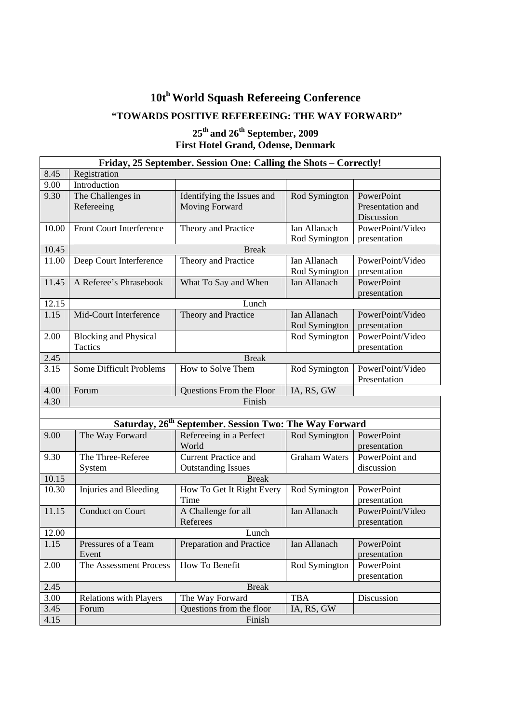# **10th World Squash Refereeing Conference**

# **"TOWARDS POSITIVE REFEREEING: THE WAY FORWARD"**

## **25th and 26th September, 2009 First Hotel Grand, Odense, Denmark**

| Friday, 25 September. Session One: Calling the Shots - Correctly! |                               |                                                 |                      |                  |  |  |  |  |  |
|-------------------------------------------------------------------|-------------------------------|-------------------------------------------------|----------------------|------------------|--|--|--|--|--|
| 8.45<br>Registration                                              |                               |                                                 |                      |                  |  |  |  |  |  |
| 9.00                                                              | Introduction                  |                                                 |                      |                  |  |  |  |  |  |
| 9.30                                                              | The Challenges in             | Identifying the Issues and                      | Rod Symington        | PowerPoint       |  |  |  |  |  |
|                                                                   | Refereeing                    | Moving Forward                                  |                      | Presentation and |  |  |  |  |  |
|                                                                   |                               |                                                 |                      | Discussion       |  |  |  |  |  |
| 10.00                                                             | Front Court Interference      | Theory and Practice                             | Ian Allanach         | PowerPoint/Video |  |  |  |  |  |
|                                                                   |                               |                                                 | Rod Symington        | presentation     |  |  |  |  |  |
| 10.45                                                             | <b>Break</b>                  |                                                 |                      |                  |  |  |  |  |  |
| 11.00                                                             | Deep Court Interference       | Theory and Practice                             | Ian Allanach         | PowerPoint/Video |  |  |  |  |  |
|                                                                   |                               |                                                 | Rod Symington        | presentation     |  |  |  |  |  |
| 11.45                                                             | A Referee's Phrasebook        | What To Say and When                            | Ian Allanach         | PowerPoint       |  |  |  |  |  |
|                                                                   |                               |                                                 |                      | presentation     |  |  |  |  |  |
| 12.15                                                             | Lunch                         |                                                 |                      |                  |  |  |  |  |  |
| 1.15                                                              | Mid-Court Interference        | Theory and Practice                             | Ian Allanach         | PowerPoint/Video |  |  |  |  |  |
|                                                                   |                               |                                                 | Rod Symington        | presentation     |  |  |  |  |  |
| 2.00                                                              | <b>Blocking and Physical</b>  |                                                 | Rod Symington        | PowerPoint/Video |  |  |  |  |  |
|                                                                   | Tactics                       |                                                 |                      | presentation     |  |  |  |  |  |
| 2.45                                                              |                               | <b>Break</b>                                    |                      |                  |  |  |  |  |  |
| 3.15                                                              | Some Difficult Problems       | How to Solve Them                               | Rod Symington        | PowerPoint/Video |  |  |  |  |  |
|                                                                   |                               |                                                 |                      | Presentation     |  |  |  |  |  |
| 4.00                                                              | Forum                         | Questions From the Floor                        | IA, RS, GW           |                  |  |  |  |  |  |
| 4.30                                                              |                               | Finish                                          |                      |                  |  |  |  |  |  |
|                                                                   |                               |                                                 |                      |                  |  |  |  |  |  |
|                                                                   | Saturday, 26 <sup>th</sup>    | <b>September. Session Two: The Way Forward</b>  |                      |                  |  |  |  |  |  |
| 9.00                                                              | The Way Forward               | Refereeing in a Perfect                         | Rod Symington        | PowerPoint       |  |  |  |  |  |
|                                                                   |                               | World                                           |                      | presentation     |  |  |  |  |  |
| 9.30                                                              | The Three-Referee             | <b>Current Practice and</b>                     | <b>Graham Waters</b> | PowerPoint and   |  |  |  |  |  |
|                                                                   | System                        | <b>Outstanding Issues</b>                       |                      | discussion       |  |  |  |  |  |
| 10.15                                                             | <b>Break</b>                  |                                                 |                      |                  |  |  |  |  |  |
| 10.30                                                             | Injuries and Bleeding         | How To Get It Right Every                       | Rod Symington        | PowerPoint       |  |  |  |  |  |
|                                                                   |                               | Time                                            |                      | presentation     |  |  |  |  |  |
| 11.15                                                             | <b>Conduct on Court</b>       | A Challenge for all                             | Ian Allanach         | PowerPoint/Video |  |  |  |  |  |
|                                                                   |                               | Referees                                        |                      | presentation     |  |  |  |  |  |
| 12.00                                                             |                               | Lunch                                           |                      |                  |  |  |  |  |  |
| 1.15                                                              | Pressures of a Team           | Preparation and Practice                        | Ian Allanach         | PowerPoint       |  |  |  |  |  |
|                                                                   | Event                         |                                                 |                      | presentation     |  |  |  |  |  |
| 2.00                                                              | The Assessment Process        | How To Benefit                                  | Rod Symington        | PowerPoint       |  |  |  |  |  |
|                                                                   |                               |                                                 |                      | presentation     |  |  |  |  |  |
| 2.45                                                              |                               | <b>Break</b>                                    |                      |                  |  |  |  |  |  |
| 3.00                                                              | <b>Relations with Players</b> | The Way Forward                                 | <b>TBA</b>           | Discussion       |  |  |  |  |  |
| 3.45                                                              |                               | Questions from the floor<br>Forum<br>IA, RS, GW |                      |                  |  |  |  |  |  |
| 4.15                                                              | Finish                        |                                                 |                      |                  |  |  |  |  |  |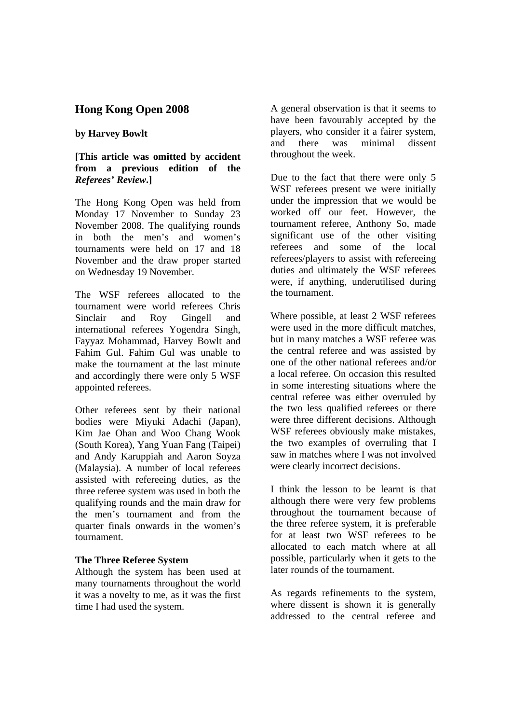# **Hong Kong Open 2008**

#### **by Harvey Bowlt**

#### **[This article was omitted by accident from a previous edition of the**  *Referees' Review***.]**

The Hong Kong Open was held from Monday 17 November to Sunday 23 November 2008. The qualifying rounds in both the men's and women's tournaments were held on 17 and 18 November and the draw proper started on Wednesday 19 November.

The WSF referees allocated to the tournament were world referees Chris Sinclair and Roy Gingell and international referees Yogendra Singh, Fayyaz Mohammad, Harvey Bowlt and Fahim Gul. Fahim Gul was unable to make the tournament at the last minute and accordingly there were only 5 WSF appointed referees.

Other referees sent by their national bodies were Miyuki Adachi (Japan), Kim Jae Ohan and Woo Chang Wook (South Korea), Yang Yuan Fang (Taipei) and Andy Karuppiah and Aaron Soyza (Malaysia). A number of local referees assisted with refereeing duties, as the three referee system was used in both the qualifying rounds and the main draw for the men's tournament and from the quarter finals onwards in the women's tournament.

#### **The Three Referee System**

Although the system has been used at many tournaments throughout the world it was a novelty to me, as it was the first time I had used the system.

A general observation is that it seems to have been favourably accepted by the players, who consider it a fairer system, and there was minimal dissent throughout the week.

Due to the fact that there were only 5 WSF referees present we were initially under the impression that we would be worked off our feet. However, the tournament referee, Anthony So, made significant use of the other visiting referees and some of the local referees/players to assist with refereeing duties and ultimately the WSF referees were, if anything, underutilised during the tournament.

Where possible, at least 2 WSF referees were used in the more difficult matches, but in many matches a WSF referee was the central referee and was assisted by one of the other national referees and/or a local referee. On occasion this resulted in some interesting situations where the central referee was either overruled by the two less qualified referees or there were three different decisions. Although WSF referees obviously make mistakes. the two examples of overruling that I saw in matches where I was not involved were clearly incorrect decisions.

I think the lesson to be learnt is that although there were very few problems throughout the tournament because of the three referee system, it is preferable for at least two WSF referees to be allocated to each match where at all possible, particularly when it gets to the later rounds of the tournament.

As regards refinements to the system, where dissent is shown it is generally addressed to the central referee and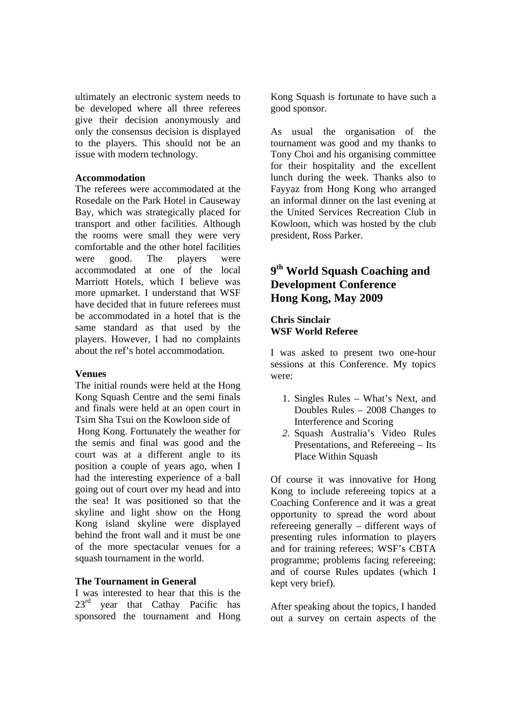ultimately an electronic system needs to be developed where all three referees give their decision anonymously and only the consensus decision is displayed to the players. This should not be an issue with modern technology.

#### **Accommodation**

The referees were accommodated at the Rosedale on the Park Hotel in Causeway Bay, which was strategically placed for transport and other facilities. Although the rooms were small they were very comfortable and the other hotel facilities were good. The players were accommodated at one of the local Marriott Hotels, which I believe was more upmarket. I understand that WSF have decided that in future referees must be accommodated in a hotel that is the same standard as that used by the players. However, I had no complaints about the ref's hotel accommodation.

#### **Venues**

The initial rounds were held at the Hong Kong Squash Centre and the semi finals and finals were held at an open court in Tsim Sha Tsui on the Kowloon side of

 Hong Kong. Fortunately the weather for the semis and final was good and the court was at a different angle to its position a couple of years ago, when I had the interesting experience of a ball going out of court over my head and into the sea! It was positioned so that the skyline and light show on the Hong Kong island skyline were displayed behind the front wall and it must be one of the more spectacular venues for a squash tournament in the world.

#### **The Tournament in General**

I was interested to hear that this is the  $23<sup>rd</sup>$  year that Cathay Pacific has sponsored the tournament and Hong Kong Squash is fortunate to have such a good sponsor.

As usual the organisation of the tournament was good and my thanks to Tony Choi and his organising committee for their hospitality and the excellent lunch during the week. Thanks also to Fayyaz from Hong Kong who arranged an informal dinner on the last evening at the United Services Recreation Club in Kowloon, which was hosted by the club president, Ross Parker.

# **9th World Squash Coaching and Development Conference Hong Kong, May 2009**

#### **Chris Sinclair WSF World Referee**

I was asked to present two one-hour sessions at this Conference. My topics were:

- 1. Singles Rules What's Next, and Doubles Rules – 2008 Changes to Interference and Scoring
- *2.* Squash Australia's Video Rules Presentations, and Refereeing – Its Place Within Squash

Of course it was innovative for Hong Kong to include refereeing topics at a Coaching Conference and it was a great opportunity to spread the word about refereeing generally – different ways of presenting rules information to players and for training referees; WSF's CBTA programme; problems facing refereeing; and of course Rules updates (which I kept very brief).

After speaking about the topics, I handed out a survey on certain aspects of the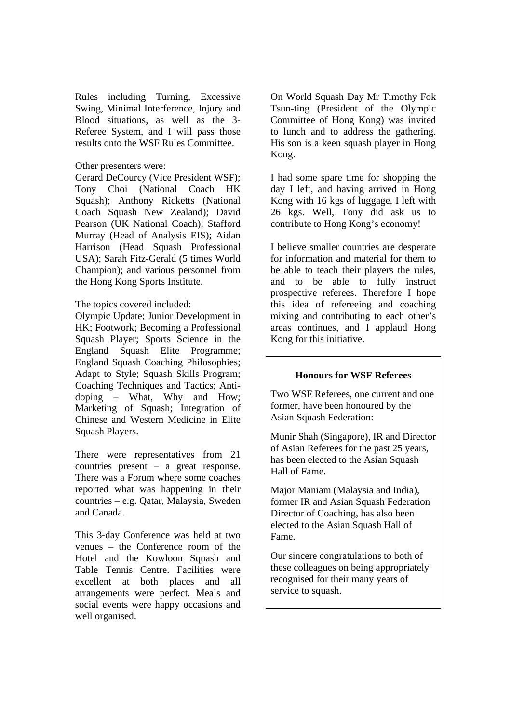Rules including Turning, Excessive Swing, Minimal Interference, Injury and Blood situations, as well as the 3- Referee System, and I will pass those results onto the WSF Rules Committee.

#### Other presenters were:

Gerard DeCourcy (Vice President WSF); Tony Choi (National Coach HK Squash); Anthony Ricketts (National Coach Squash New Zealand); David Pearson (UK National Coach); Stafford Murray (Head of Analysis EIS); Aidan Harrison (Head Squash Professional USA); Sarah Fitz-Gerald (5 times World Champion); and various personnel from the Hong Kong Sports Institute.

#### The topics covered included:

Olympic Update; Junior Development in HK; Footwork; Becoming a Professional Squash Player; Sports Science in the England Squash Elite Programme; England Squash Coaching Philosophies; Adapt to Style; Squash Skills Program; Coaching Techniques and Tactics; Antidoping – What, Why and How; Marketing of Squash; Integration of Chinese and Western Medicine in Elite Squash Players.

There were representatives from 21 countries present – a great response. There was a Forum where some coaches reported what was happening in their countries – e.g. Qatar, Malaysia, Sweden and Canada.

This 3-day Conference was held at two venues – the Conference room of the Hotel and the Kowloon Squash and Table Tennis Centre. Facilities were excellent at both places and all arrangements were perfect. Meals and social events were happy occasions and well organised.

On World Squash Day Mr Timothy Fok Tsun-ting (President of the Olympic Committee of Hong Kong) was invited to lunch and to address the gathering. His son is a keen squash player in Hong Kong.

I had some spare time for shopping the day I left, and having arrived in Hong Kong with 16 kgs of luggage, I left with 26 kgs. Well, Tony did ask us to contribute to Hong Kong's economy!

I believe smaller countries are desperate for information and material for them to be able to teach their players the rules, and to be able to fully instruct prospective referees. Therefore I hope this idea of refereeing and coaching mixing and contributing to each other's areas continues, and I applaud Hong Kong for this initiative.

#### **Honours for WSF Referees**

Two WSF Referees, one current and one former, have been honoured by the Asian Squash Federation:

Munir Shah (Singapore), IR and Director of Asian Referees for the past 25 years, has been elected to the Asian Squash Hall of Fame.

Major Maniam (Malaysia and India), former IR and Asian Squash Federation Director of Coaching, has also been elected to the Asian Squash Hall of Fame.

Our sincere congratulations to both of these colleagues on being appropriately recognised for their many years of service to squash.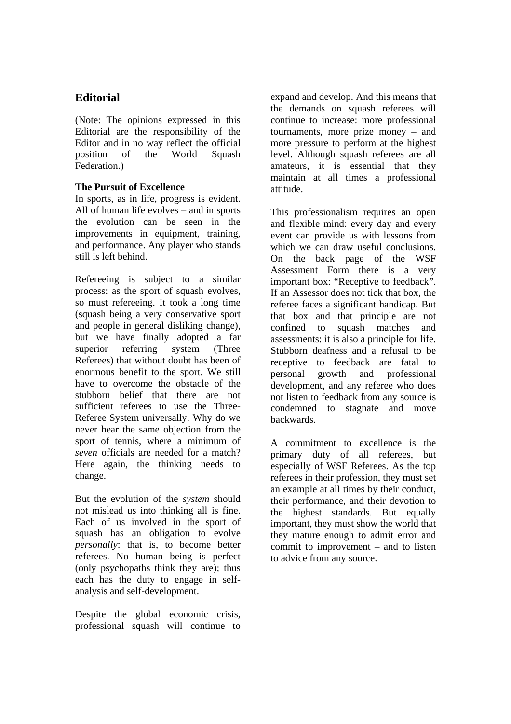# **Editorial**

(Note: The opinions expressed in this Editorial are the responsibility of the Editor and in no way reflect the official position of the World Squash Federation.)

#### **The Pursuit of Excellence**

In sports, as in life, progress is evident. All of human life evolves – and in sports the evolution can be seen in the improvements in equipment, training, and performance. Any player who stands still is left behind.

Refereeing is subject to a similar process: as the sport of squash evolves, so must refereeing. It took a long time (squash being a very conservative sport and people in general disliking change), but we have finally adopted a far superior referring system (Three Referees) that without doubt has been of enormous benefit to the sport. We still have to overcome the obstacle of the stubborn belief that there are not sufficient referees to use the Three-Referee System universally. Why do we never hear the same objection from the sport of tennis, where a minimum of *seven* officials are needed for a match? Here again, the thinking needs to change.

But the evolution of the *system* should not mislead us into thinking all is fine. Each of us involved in the sport of squash has an obligation to evolve *personally*: that is, to become better referees. No human being is perfect (only psychopaths think they are); thus each has the duty to engage in selfanalysis and self-development.

Despite the global economic crisis, professional squash will continue to expand and develop. And this means that the demands on squash referees will continue to increase: more professional tournaments, more prize money – and more pressure to perform at the highest level. Although squash referees are all amateurs, it is essential that they maintain at all times a professional attitude.

This professionalism requires an open and flexible mind: every day and every event can provide us with lessons from which we can draw useful conclusions. On the back page of the WSF Assessment Form there is a very important box: "Receptive to feedback". If an Assessor does not tick that box, the referee faces a significant handicap. But that box and that principle are not confined to squash matches and assessments: it is also a principle for life. Stubborn deafness and a refusal to be receptive to feedback are fatal to personal growth and professional development, and any referee who does not listen to feedback from any source is condemned to stagnate and move backwards.

A commitment to excellence is the primary duty of all referees, but especially of WSF Referees. As the top referees in their profession, they must set an example at all times by their conduct, their performance, and their devotion to the highest standards. But equally important, they must show the world that they mature enough to admit error and commit to improvement – and to listen to advice from any source.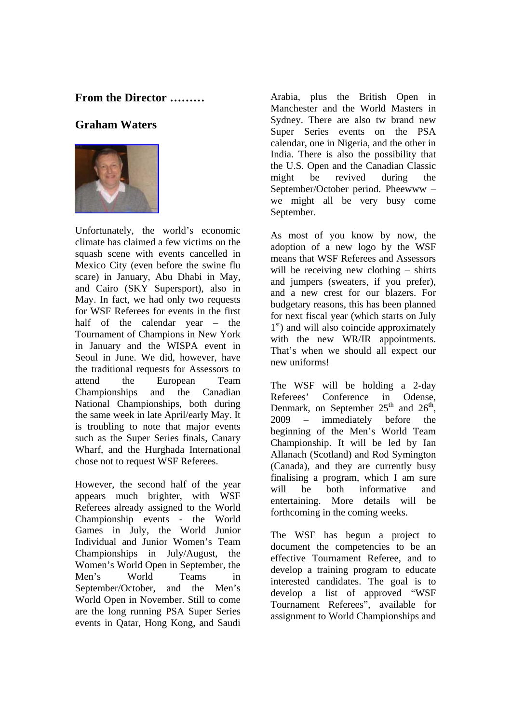## **From the Director ………**

# **Graham Waters**



Unfortunately, the world's economic climate has claimed a few victims on the squash scene with events cancelled in Mexico City (even before the swine flu scare) in January, Abu Dhabi in May, and Cairo (SKY Supersport), also in May. In fact, we had only two requests for WSF Referees for events in the first half of the calendar year – the Tournament of Champions in New York in January and the WISPA event in Seoul in June. We did, however, have the traditional requests for Assessors to attend the European Team Championships and the Canadian National Championships, both during the same week in late April/early May. It is troubling to note that major events such as the Super Series finals, Canary Wharf, and the Hurghada International chose not to request WSF Referees.

However, the second half of the year appears much brighter, with WSF Referees already assigned to the World Championship events - the World Games in July, the World Junior Individual and Junior Women's Team Championships in July/August, the Women's World Open in September, the Men's World Teams in September/October, and the Men's World Open in November. Still to come are the long running PSA Super Series events in Qatar, Hong Kong, and Saudi

Arabia, plus the British Open in Manchester and the World Masters in Sydney. There are also tw brand new Super Series events on the PSA calendar, one in Nigeria, and the other in India. There is also the possibility that the U.S. Open and the Canadian Classic might be revived during the September/October period. Pheewww – we might all be very busy come September.

As most of you know by now, the adoption of a new logo by the WSF means that WSF Referees and Assessors will be receiving new clothing – shirts and jumpers (sweaters, if you prefer), and a new crest for our blazers. For budgetary reasons, this has been planned for next fiscal year (which starts on July  $1<sup>st</sup>$ ) and will also coincide approximately with the new WR/IR appointments. That's when we should all expect our new uniforms!

The WSF will be holding a 2-day Referees' Conference in Odense, Denmark, on September  $25<sup>th</sup>$  and  $26<sup>th</sup>$ , 2009 – immediately before the beginning of the Men's World Team Championship. It will be led by Ian Allanach (Scotland) and Rod Symington (Canada), and they are currently busy finalising a program, which I am sure will be both informative and entertaining. More details will be forthcoming in the coming weeks.

The WSF has begun a project to document the competencies to be an effective Tournament Referee, and to develop a training program to educate interested candidates. The goal is to develop a list of approved "WSF Tournament Referees", available for assignment to World Championships and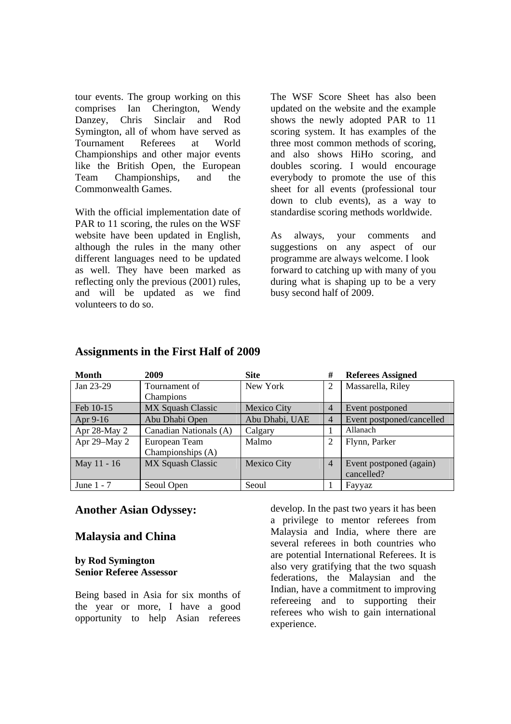tour events. The group working on this comprises Ian Cherington, Wendy Danzey, Chris Sinclair and Rod Symington, all of whom have served as Tournament Referees at World Championships and other major events like the British Open, the European Team Championships, and the Commonwealth Games.

With the official implementation date of PAR to 11 scoring, the rules on the WSF website have been updated in English, although the rules in the many other different languages need to be updated as well. They have been marked as reflecting only the previous (2001) rules, and will be updated as we find volunteers to do so.

The WSF Score Sheet has also been updated on the website and the example shows the newly adopted PAR to 11 scoring system. It has examples of the three most common methods of scoring, and also shows HiHo scoring, and doubles scoring. I would encourage everybody to promote the use of this sheet for all events (professional tour down to club events), as a way to standardise scoring methods worldwide.

As always, your comments and suggestions on any aspect of our programme are always welcome. I look forward to catching up with many of you during what is shaping up to be a very busy second half of 2009.

| <b>Month</b> | 2009                     | <b>Site</b>    | #              | <b>Referees Assigned</b>  |
|--------------|--------------------------|----------------|----------------|---------------------------|
| Jan 23-29    | Tournament of            | New York       | 2              | Massarella, Riley         |
|              | Champions                |                |                |                           |
| Feb 10-15    | <b>MX Squash Classic</b> | Mexico City    | $\overline{4}$ | Event postponed           |
| Apr 9-16     | Abu Dhabi Open           | Abu Dhabi, UAE | $\overline{4}$ | Event postponed/cancelled |
| Apr 28-May 2 | Canadian Nationals (A)   | Calgary        |                | Allanach                  |
| Apr 29-May 2 | European Team            | Malmo          | 2              | Flynn, Parker             |
|              | Championships (A)        |                |                |                           |
| May 11 - 16  | MX Squash Classic        | Mexico City    | $\overline{4}$ | Event postponed (again)   |
|              |                          |                |                | cancelled?                |
| June 1 - 7   | Seoul Open               | Seoul          |                | Fayyaz                    |

#### **Assignments in the First Half of 2009**

#### **Another Asian Odyssey:**

#### **Malaysia and China**

#### **by Rod Symington Senior Referee Assessor**

Being based in Asia for six months of the year or more, I have a good opportunity to help Asian referees

develop. In the past two years it has been a privilege to mentor referees from Malaysia and India, where there are several referees in both countries who are potential International Referees. It is also very gratifying that the two squash federations, the Malaysian and the Indian, have a commitment to improving refereeing and to supporting their referees who wish to gain international experience.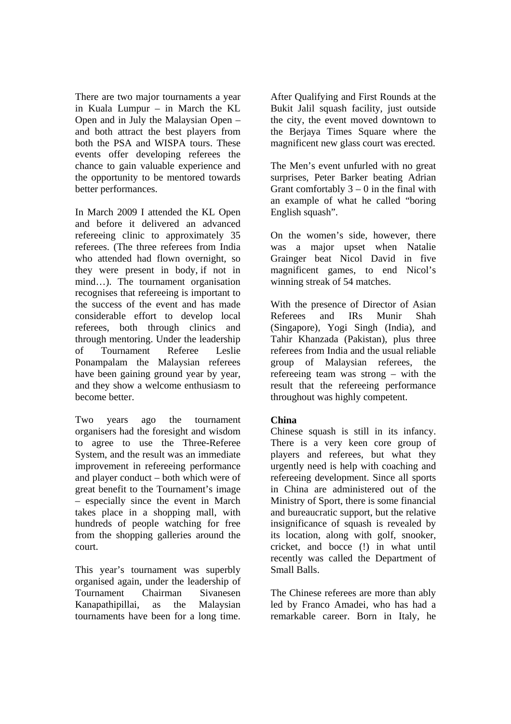There are two major tournaments a year in Kuala Lumpur – in March the KL Open and in July the Malaysian Open – and both attract the best players from both the PSA and WISPA tours. These events offer developing referees the chance to gain valuable experience and the opportunity to be mentored towards better performances.

In March 2009 I attended the KL Open and before it delivered an advanced refereeing clinic to approximately 35 referees. (The three referees from India who attended had flown overnight, so they were present in body, if not in mind…). The tournament organisation recognises that refereeing is important to the success of the event and has made considerable effort to develop local referees, both through clinics and through mentoring. Under the leadership of Tournament Referee Leslie Ponampalam the Malaysian referees have been gaining ground year by year, and they show a welcome enthusiasm to become better.

Two years ago the tournament organisers had the foresight and wisdom to agree to use the Three-Referee System, and the result was an immediate improvement in refereeing performance and player conduct – both which were of great benefit to the Tournament's image – especially since the event in March takes place in a shopping mall, with hundreds of people watching for free from the shopping galleries around the court.

This year's tournament was superbly organised again, under the leadership of Tournament Chairman Sivanesen Kanapathipillai, as the Malaysian tournaments have been for a long time.

After Qualifying and First Rounds at the Bukit Jalil squash facility, just outside the city, the event moved downtown to the Berjaya Times Square where the magnificent new glass court was erected.

The Men's event unfurled with no great surprises, Peter Barker beating Adrian Grant comfortably  $3 - 0$  in the final with an example of what he called "boring English squash".

On the women's side, however, there was a major upset when Natalie Grainger beat Nicol David in five magnificent games, to end Nicol's winning streak of 54 matches.

With the presence of Director of Asian Referees and IRs Munir Shah (Singapore), Yogi Singh (India), and Tahir Khanzada (Pakistan), plus three referees from India and the usual reliable group of Malaysian referees, the refereeing team was strong – with the result that the refereeing performance throughout was highly competent.

#### **China**

Chinese squash is still in its infancy. There is a very keen core group of players and referees, but what they urgently need is help with coaching and refereeing development. Since all sports in China are administered out of the Ministry of Sport, there is some financial and bureaucratic support, but the relative insignificance of squash is revealed by its location, along with golf, snooker, cricket, and bocce (!) in what until recently was called the Department of Small Balls.

The Chinese referees are more than ably led by Franco Amadei, who has had a remarkable career. Born in Italy, he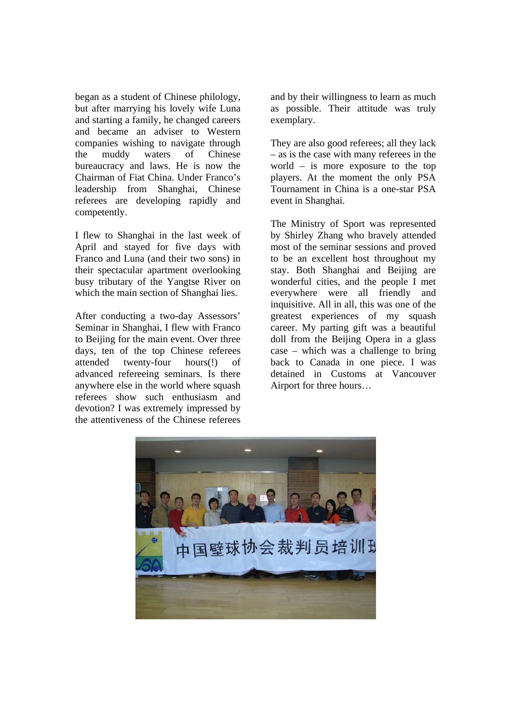began as a student of Chinese philology, but after marrying his lovely wife Luna and starting a family, he changed careers and became an adviser to Western companies wishing to navigate through the muddy waters of Chinese bureaucracy and laws. He is now the Chairman of Fiat China. Under Franco's leadership from Shanghai, Chinese referees are developing rapidly and competently.

I flew to Shanghai in the last week of April and stayed for five days with Franco and Luna (and their two sons) in their spectacular apartment overlooking busy tributary of the Yangtse River on which the main section of Shanghai lies.

After conducting a two-day Assessors' Seminar in Shanghai, I flew with Franco to Beijing for the main event. Over three days, ten of the top Chinese referees attended twenty-four hours(!) of advanced refereeing seminars. Is there anywhere else in the world where squash referees show such enthusiasm and devotion? I was extremely impressed by the attentiveness of the Chinese referees

and by their willingness to learn as much as possible. Their attitude was truly exemplary.

They are also good referees; all they lack – as is the case with many referees in the world – is more exposure to the top players. At the moment the only PSA Tournament in China is a one-star PSA event in Shanghai.

The Ministry of Sport was represented by Shirley Zhang who bravely attended most of the seminar sessions and proved to be an excellent host throughout my stay. Both Shanghai and Beijing are wonderful cities, and the people I met everywhere were all friendly and inquisitive. All in all, this was one of the greatest experiences of my squash career. My parting gift was a beautiful doll from the Beijing Opera in a glass case – which was a challenge to bring back to Canada in one piece. I was detained in Customs at Vancouver Airport for three hours…